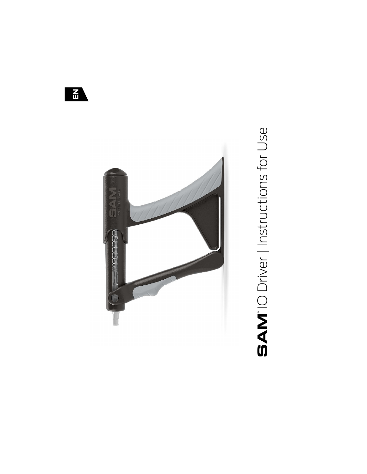

**SAM**<sup>'</sup>IO Driver | Instructions for Use

 $\frac{1}{2}$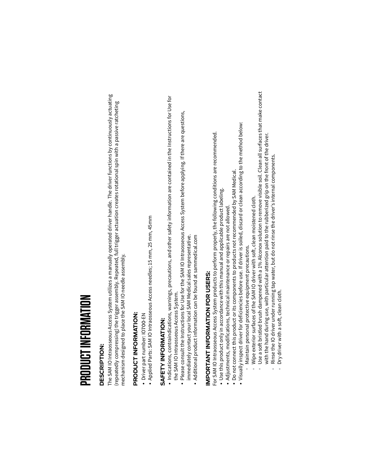### PRODUCT INFORMATION

#### **DESCRIPTION:**

The SAM IO Intraosseous Access System utilizes a manually operated driver handle. The driver functions by continuously actuating (repeatedly compressing) the trigger assembly. Repeated, full trigger actuation creates rotational spin with a passive ratcheting mechanism designed to place the SAM IO needle assembly.

### PRODUCT INFORMATION:

- · Driver part number: IO700-EN
- Applied Parts: SAM IO Intraosseous Access needles; 15 mm, 25 mm, 45mm

### SAFETY INFORMATION:

- · Indications, contraindications, warnings, precautions, and other safety information are contained in the Instructions for Use for the SAM IO Intraosseous Access System.
	- Please consult the Instructions for Use for the SAM IO Intraosseous Access System before applying. If there are questions, immediately contact your local SAM Medical sales representative.
		- . Additional product information can be found at sammedical.com

### IMPORTANT INFORMATION FOR USERS:

- For SAM IO Intraosseous Access System products to perform properly, the following conditions are recommended.
	- · Use this product only in accordance with this manual and applicable product labeling.
		- · Adjustments, modifications, technical maintenance or repairs are not allowed.
- · Do not connect this product or its components to products not recommended by SAM Medical.
- $\bullet$  Visually inspect driver for deficiencies before use. If driver is soiled, discard or clean according to the method below:
	- Maintain personal protective equipment precautions.
- Wipe exterior surfaces of the SAM IO driver with soft, clean moistened cloth.
- Use a soft bristled brush dampened with a 1% Alconox solution to remove visible soil. Clean all surfaces that make contact with the hand during use, with particular attention paid to the rubberized grip on the front of the driver.
	- Rinse the IO driver under running tap water, but do not rinse the driver's internal components.
		- Dry driver with a soft, clean cloth.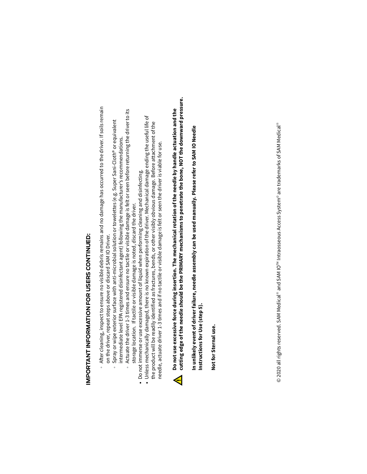## IMPORTANT INFORMATION FOR USERS CONTINUED:

- After cleaning, inspect to ensure no visible debris remains and no damage has occurred to the driver. If soils remain on the driver, repeat steps above or discard SAM IO Driver.
	- Spray or wipe exterior surface with anti-microbial solution or towelettes (e.g. Super Sani-Cloth® or equivalent
- Actuate the driver 1-3 times and ensure no tactile or visible damage is felt or seen before returning the driver to its intermediate level EPA registered disinfectant agent) following the manufacturer's recommendations. storage location. If tactile or visible damage is noted, discard the driver.
	-
	- Do not immerse or use excessive amount of liquid when performing cleaning and disinfecting.<br>• Unless mechanically damaged, there is no known expiration of the driver. Mechanical damage ending the useful life of the product will be readily identified as fractures, bends, or other visibly obvious damage. Before attachment of the needle, actuate driver 1-3 times and if no tactile or visible damage is felt or seen the driver is viable for use.

### cutting edge of the needle should be the PRIMARY mechanisms to penetrate the bone, NOT the downward pressure. Do not use excessive force during insertion. The mechanical rotation of the needle by handle actuation and the  $\blacktriangleleft$

In unlikely event of driver failure, needle assembly can be used manually. Please refer to SAM IO Needle Instructions for Use (step 5).

Not for Sternal use.

© 2020 all rights reserved. SAM Medical® and SAM IO™ Intraosseous Access System® are trademarks of SAM Medical®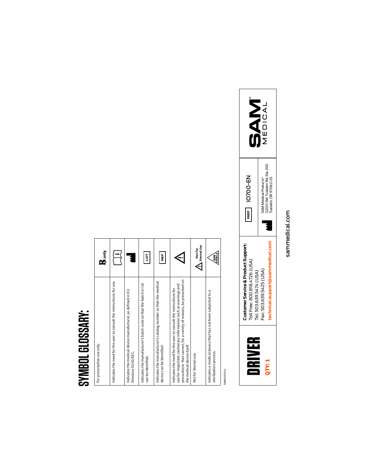#### SYMBOL GLOSSARY: **SYMBOL GLOSSARY:**

| For prescription use only.                                                                                                                                                                                                           | ${\bf k}$ <sub>only</sub>   |
|--------------------------------------------------------------------------------------------------------------------------------------------------------------------------------------------------------------------------------------|-----------------------------|
| Indicates the need for the user to consult the instructions for use.                                                                                                                                                                 |                             |
| Indicates the medical device manufacturer, as defined in EU<br>Directive 93/42/EEC.                                                                                                                                                  |                             |
| Indicates the manufacturer's batch code so that the batch or lot<br>can be identified.                                                                                                                                               | ģ                           |
| Indicates the manufacturer's catalog number so that the medical<br>device can be identified.                                                                                                                                         | 믍                           |
| precautions that cannot, for a variety of reasons, be presented on<br>use for important cautionary information such as warnings and<br>Indicates the need for the user to consult the instructions for<br>the medical device itself. |                             |
| Not for Stemal use.                                                                                                                                                                                                                  | Sternal Use<br>Not For<br>€ |
| Indicates a medical device that has not been subjected to a<br>sterilization process.                                                                                                                                                | <b>STERILE</b>              |

SAM04033 A SAM04033 A



sammedical.com sammedical.com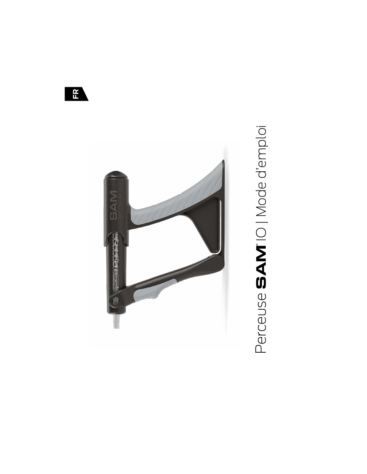

# Perceuse SAM<sup>®</sup>IO | Mode d'emploi

 $\mathbf{H}$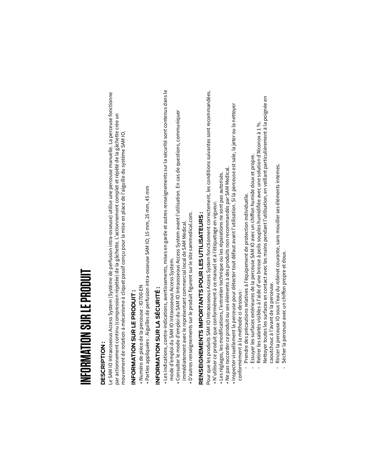### INFORMATION SUR LE PRODUIT

#### **DESCRIPTION:**

Le SAM IO Intraosseous Access System (Système de perfusion intra-osseuse) utilise une perceuse manuelle. La perceuse fonctionne par actionnement continu (compression répétée) de la gâchette. L'actionnement complet et répété de la gâchette crée un mouvement de rotation à mécanisme à cliquet passif conçu pour la mise en place de l'aiguille du système SAM IO.

### INFORMATION SUR LE PRODUIT:

- Numéro de pièce de la perceuse : IO700-EN
- · Parties appliquées : Aiguilles de perfusion intra-osseuse SAM IO; 15 mm, 25 mm, 45 mm

### INFORMATION SUR LA SÉCURITÉ:

- Les indications, contre-indications, avertissements, mises en garde et autres renseignements sur la sécurité sont contenus dans le mode d'emploi du SAM IO Intraosseous Access System.
	- · Consulter le mode d'emploi du SAM IO Intraosseous Access System avant l'utilisation. En cas de questions, communiquer immédiatement avec le représentant commercial local de SAM Medical
		- · D'autres renseignements sur le produit figurent sur le site sammedical.com.

## RENSEIGNEMTS IMPORTANTS POUR LES UTILISATEURS :

Pour que les produits SAM IO Intraosseous Access System fonctionnent correctement, les conditions suivantes sont recommandées. · N'utiliser ce produit que conformément à ce manuel et à l'étiquetage en vigueur.

- Les réglages, les modifications, l'entretien technique ou les réparations ne sont pas autorisés.
- Ne pas raccorder ce produit ou ses éléments à des produits non recommandés par SAM Medical
- Inspecter visuellement la perceuse pour détecter tout défaut avant l'utilisation. Si la perceuse est sale, la jeter ou la nettoyer conformément à la méthode ci-dessous :
	- Prendre des précautions relatives à l'équipement de protection individuelle.
- Essuyer les surfaces extérieures de la perceuse SAM IO avec un chiffon humide doux et propre.
- Nettoyer toutes les surfaces en contact avec les mains pendant l'utilisation, en veillant particulièrement à la poignée en Retirer les saletés visibles à l'aide d'une brosse à poils souples humidifiée avec une solution d'Alconox à 1 %.
	- Rincer la perceuse IO sous l'eau du robinet courante, sans mouiller ses éléments internes. caoutchouc à l'avant de la perceuse.
		- Sécher la perceuse avec un chiffon propre et doux.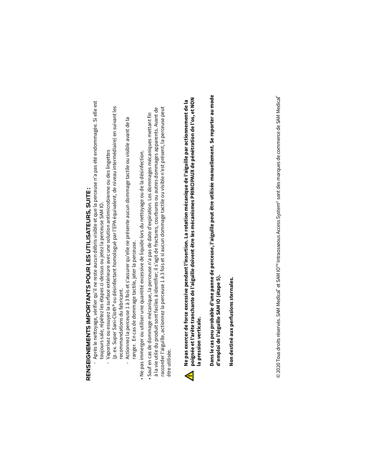## RENSEIGNEMENTS IMPORTANTS POUR LES UTILISATEURS, SUITE :

- Après le nettoyage, vérifier qu'il ne reste aucun débris visible et que la perceuse n'a pas été endommagée. Si elle est toujours sale, répétez les étapes ci-dessus ou jetez la perceuse SAM IO.
	- (p. ex. Super Sani-Cloth® ou désinfectant homologué par l'EPA équivalent, de niveau intermédiaire) en suivant les Vaporisez ou essuyez la surface extérieure avec une solution antimicrobienne ou des lingettes recommandations du fabricant.
		- Actionnez la perceuse 1 à 3 fois et s'assurer qu'elle ne présente aucun dommage tactile ou visible avant de la ranger. En cas de dommage tactile, jeter la perceuse.
- Ne pas immerger ou utiliser une quantité excessive de liquide lors du nettoyage ou de la désinfection.
- raccorder l'aiguille, actionnez la perceuse 1 à 3 fois et si aucun dommage tactile ou visible n'est présent, la perceuse peut à la vie utile du produit sont faciles à identifier; il s'agit de fractures, courbures ou autres dommages apparents. Avant de • Sauf en cas de dommage mécanique, la perceuse n'a pas de date d'expiration. Les dommages mécaniques mettant fin être utilisée



Dans le cas peu probable d'une panne de perceuse, l'aiguille peut être utilisée manuellement. Se reporter au mode d'emploi de l'aiguille SAM IO (étape 5).

Non destiné aux perfusions sternales.

© 2020 Tous droits réservés. SAM Medical" et SAM IO"" Intraosseous Access System® sont des marques de commerce de SAM Medical"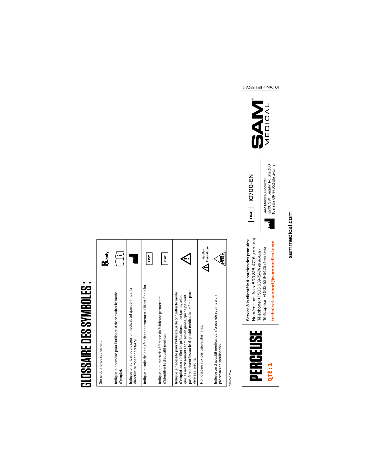#### **GLOSSAIRE DES SYMBOLES: GLOSSAIRE DES SYMBOLES:**

| Sur ordonnance seulement.                                                                                                                                                                                                                                                   | $K$ <sub>only</sub>         |
|-----------------------------------------------------------------------------------------------------------------------------------------------------------------------------------------------------------------------------------------------------------------------------|-----------------------------|
| Indique la nécessité pour l'utilisateur de consulter le mode<br>d'emploi.                                                                                                                                                                                                   |                             |
| Indique le fabricant du dispositif médical, tel que défini par la<br>directive européenne 93/42/CEE.                                                                                                                                                                        |                             |
| Indique le code de lot du fabricant permettant d'identifier le lot.                                                                                                                                                                                                         | ğ                           |
| Indique le numéro de référence du fabricant permettant<br>d'identifier le dispositif médical.                                                                                                                                                                               | 뻝                           |
| pas être présentées sur le dispositif médical lui-même, pour<br>Indique la nécessité pour l'utilisateur de consulter le mode<br>d'emploi pour vérifier les précautions importantes, telles<br>que les avertissements et mises en garde, qui ne peuvent<br>diverses raisons. |                             |
| Non destiné aux perfusions sternales.                                                                                                                                                                                                                                       | Sternal Use<br>Not For<br>€ |
| Indique un dispositif médical qui n'a pas été soumis à un<br>processus de stérilisation.                                                                                                                                                                                    | <b>STERILE</b>              |

**SAM04033 A** SAM04033 A



sammedical.com sammedical.com